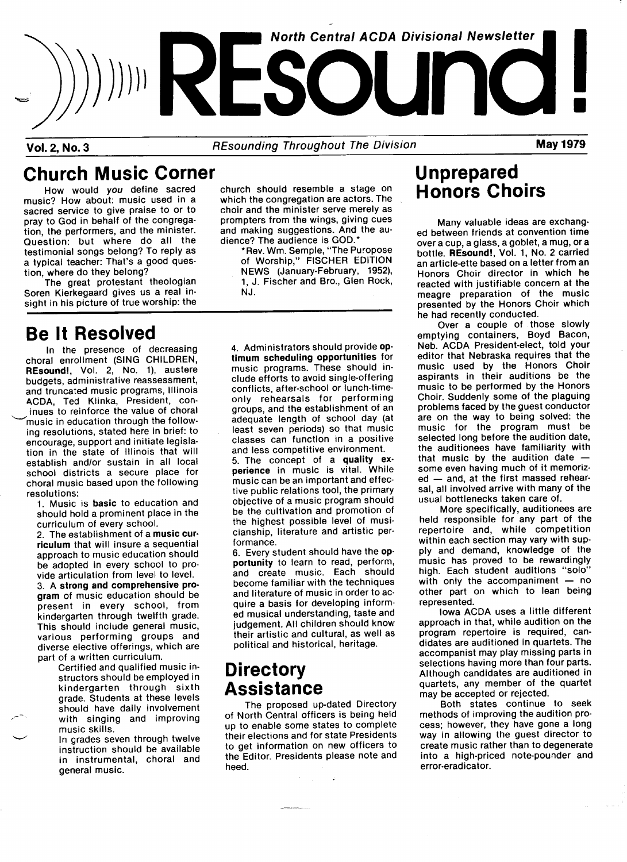

Vol. 2, No. 3 **REsounding Throughout The Division** May 1979

### Church Music Corner

How would you define sacred music? How about: music used in a sacred service to give praise to or to pray to God in behalf of the congregation, the performers, and the minister. Question: but where do all the testimonial songs belong? To reply as a typical teacher: That's a good question, where do they belong?

The great protestant theologian Soren Kierkegaard gives us a real insight in his picture of true worship: the

### Be lt Resolved

ln the presence of decreasing choral enrollment (SING CHILDREN, REsound!, Vol. 2, No. 1), austere budgets, administrative reassessment, and truncated music programs, lllinois ACDA, Ted Klinka, President, coninues to reinforce the value of choral ~'music in education through the following resolutions, stated here in brief: to encourage, support and initiate legislation in the state of Illinois that will establish and/or sustain in all local school districts a secure place for choral music based upon the following resolutions:

1. Music is basic to education and should hold a prominent place in the curriculum of every school.

2. The establishment of a music cur. riculum that will insure a sequential approach to music education should be adopted in every school to provide articulation from level to level. 3. A strong and comprehensive pro. gram of music education should be present in every school, from kindergarten through twelfth grade. This should include general music, various performing groups and diverse elective offerings, which are part of a written curriculum.

Certified and qualified music instructors should be employed in kindergarten through sixth grade. Students at these levels should have daily involvement with singing and improving music skills.

In grades seven through twelve instruction should be available in instrumental, choral and general music.

church should resemble a stage on which the congregation are actors. The choir and the minister serve merely as prompters from the wings, giving cues and making suggestions. And the audience? The audience is GOD.\*

\* Rev. Wm. Semple, "The Puropose of Worship," FISCHER EDITION NEWS (January-February, 1952), 1, J. Fischer and Bro., Glen Rock, NJ.

4. Administrators should provide optimum scheduling opportunities for music programs. These should include efforts to avoid single-offering conflicts, after-school or lunch-timeonly rehearsals for performing groups, and the establishment of an adequate length of school day (at least seven periods) so that music classes can function in a positive and less competitive environment. 5. The concept of a quality experience in music is vital. While music can be an important and effective public relations tool, the primary objective of a music program should be the cultivation and promotion of the highest possible level of musi. cianship, literature and artistic per. formance.

6. Every student should have the op. portunity to learn to read, perform, and create music. Each should become familiar with the techniques and literature of music in order to acquire a basis for developing informed musical understanding, taste and judgement. All children should know' their artistic and cultural, as well as political and historical, heritage.

#### **Directory** Assistance

The proposed up-dated Directory of North Central officers is being held up to enable some states to complete their elections and for state Presidents to get information on new officers to the Editor. Presidents please note and heed.

## Unprepared Honors Choirs

Many valuable ideas are exchanged between friends at convention time over a cup, a glass, a goblet, a mug, or a bottle. REsound!, Vol.1, No. 2 carried an article-ette based on a letter from an Honors Choir director in which he reacted with justifiable concern at the meagre preparation of the music presented by the Honors Choir which he had recently conducted.

Over a couple of those slowly emptying containers, Boyd Bacon, Neb. ACDA President-elect, told your editor that Nebraska requires that the music used by the Honors Choir aspirants in their auditions be the music to be performed by the Honors Choir. Suddenly some of the plaguing problems faced by the guest conductor are on the way to being solved: the music for the program must be selected long before the audition date, the auditionees have familiarity with that music by the audition date some even having much of it memoriz $ed$   $-$  and, at the first massed rehearsal, all involved arrive with many of the usual bottlenecks taken care of.

More specifically, auditionees are held responsible for any part of the repertoire and, while competition within each section may vary with supply and demand, knowledge of the music has proved to be rewardingly high. Each student auditions "solo" with only the accompaniment  $-$  no other part on which to lean being represented.

Iowa ACDA uses a little different approach in that, while audition on the program repertoire is required, candidates are auditioned in quartets. The accompanist may play missing parts in selections having more than four parts. Although candidates are auditioned in quartets, any member of the quartet may be accepted or rejected.

Both states continue to seek methods of improving the audition process; however, they have gone a long way in allowing the guest director to create music rather than to degenerate into a high-priced note-pounder and error-eradicator.

 $\mathcal{A}$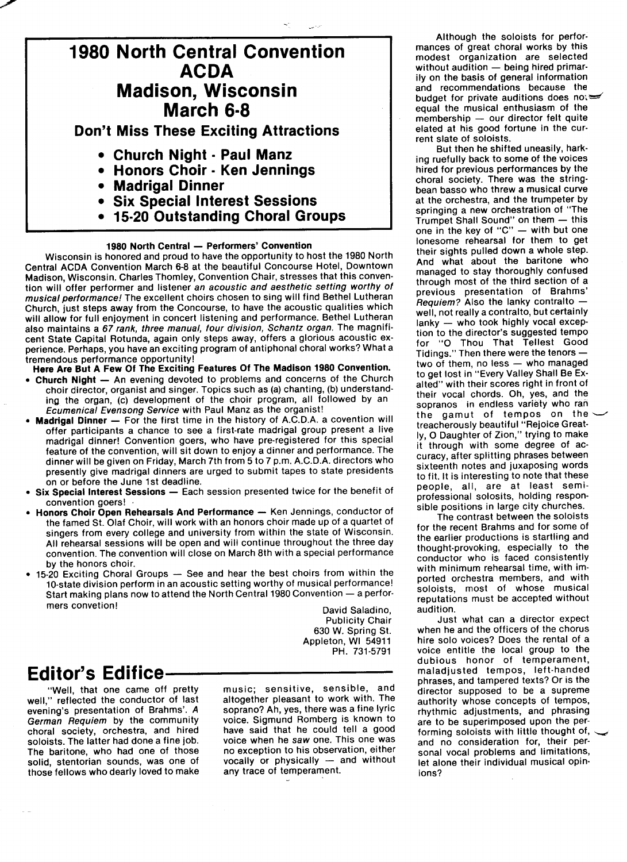

- Madrigal Dinner
- Six Special Interest Sessions
- 15.20 Outstanding Choral Groups

#### 1980 North Central - Performers' Convention

Wisconsin is honored and proud to have the opportunity to host the 1980 North Central ACDA Convention March 6-8 at the beautiful Concourse Hotel, Downtown Madison, Wisconsin. Charles Thomley, Convention Chair, stresses that this convention will offer performer and listener an acoustic and aesthetic setting worthy of musical performance! The excellent choirs chosen to sing will find Bethel Lutheran Church, just steps away from the Concourse, to have the acoustic qualities which will allow for full enjoyment in concert listening and performance. Bethel Lutheran also maintains a 67 rank, three manual, four division, Schantz organ. The magnificent State Capital Rotunda, again only steps away, offers a glorious acoustic experience. Perhaps, you have an exciting program of antiphonal choral works? What a tremendous performance opportunity!

Here Are But A Few Of The Exciting Features Of The Madison 1980 Convention.

- Church Night An evening devoted to problems and concerns of the Church choir director, organist and singer. Topics such as (a) chanting, (b) understanding the Organ, (c) development of the choir program, all followed by an Ecumenical Evensong Service with Paul Manz as the organist!
- Madrigal Dinner For the first time in the history of A.C.D.A. a covention will offer participants a chance to see a first-rate madrigal group present a live madrigal dinner! Convention goers, who have pre-registered for this special feature of the convention, will sit down to enjoy a dinner and performance. The dinner will be given on Friday, March 7th from 5 to 7 p.m. A.C.D.A. directors who presently give madrigal dinners are urged to submit tapes to state presidents on or before the June 1st deadline.
- Six Special Interest Sessions Each session presented twice for the benefit of convention goers! .
- Honors Choir Open Rehearsals And Performance Ken Jennings, conductor of the famed St. 0laf Choir, will work with an honors choir made up of a quartet of singers from every college and university from within the state of Wisconsin. All rehearsal sessions will be open and will continue throughout the three day convention. The convention will close on March 8th with a special performance by the honors choir.
- 15-20 Exciting Choral Groups See and hear the best choirs from within the lo-state division perform in an acoustic setting worthy of musical performance! Start making plans now to attend the North Central 1980 Convention - a performers convetion!

David Saladino, Publicity Chair 630 W. Spring St. Appleton, Wl 54911 PH. 731-5791

#### **Editor's Edifice-**

"Well, that one came off pretty well," reflected the conductor of last evening's presentation of Brahms'. A German Requiem by the community choral society, orchestra, and hired soloists. The latter had done a fine job. The baritone, who had one of those solid, stentorian sounds, was one of those fellows who dearly loved to make

music; sensitive, sensible, and altogether pleasant to work with. The soprano? Ah, yes, there was a fine lyric voice. Sigmund Pomberg is known to have said that he could tell a good voice when he saw one. This one was no exception to his observation, either vocally or physically - and without any trace of temperament.

Although the soloists for performances of great choral works by this modest organization are selected without audition  $-$  being hired primarily on the basis of general information and recommendations because the budget for private auditions does not equal the musical enthusiasm of the  $m$ embership  $-$  our director felt quite elated at his good fortune in the current slate of soloists.

But then he shifted uneasily, harking ruefully back to some of the voices hired for previous performances by the choral society. There was the stringbean basso who threw a musical curve at the orchestra, and the trumpeter by springing a new orchestration of "The Trumpet Shall Sound" on them - this one in the key of "C"  $-$  with but one lonesome rehearsal for them to get their sights pulled down a whole step. And what about the baritone who managed to stay thoroughly confused through most of the third section of a previous presentation of Brahms'  $F$ equiem? Also the lanky contralto well, not really a contralto, but certainly  $lankv - who$  took highly vocal exception to the director's suggested tempo for "0 Thou That TeHest Good Tidings." Then there were the tenors  $$ two of them, no less - who managed to get lost in "Every Valley Shall Be Exalted" with their scores right in front of their vocal chords. Oh, yes, and the sopranos in endless variety who ran the gamut of tempos on the treacherously beautiful "Rejoice Greatly, 0 Daughter of Zion," trying to make it through with some degree of accuracy, after splitting phrases between sixteenth notes and juxaposing words to fit. It is interesting to note that these people, all, are at least semiprofessional solosits, holding responsible positions in large city churches.

The contrast between the soloists for the recent Brahms and for some of the earlier productions is startling and thought-provoking, especially to the conductor who is faced consistently with minimum rehearsal time, with imported orchestra members, and with soloists, most of whose musical reputations must be accepted without audition.

Just what can a director expect when he and the officers of the chorus hire solo voices? Does the rental of a voice entitle the local group to the dubious honor of temperament, maladjusted tempos, left-handed phrases, and tampered texts? Or is the director supposed to be a supreme authority whose concepts of tempos, rhythmic adjustments, and phrasing are to be superimposed upon the performing soloists with little thought of, and no consideration for, their personal vocal problems and limitations, let alone their individual musical opinions?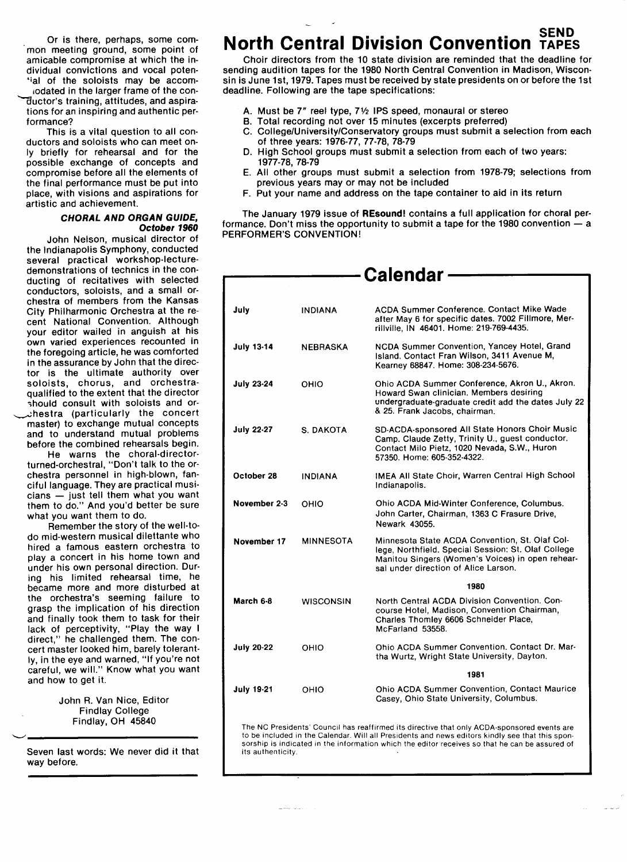Or is there, perhaps, some common meeting ground, some point of amicable compromise at which the individual convictions and vocal poten- `ial of the soloists may be accomiodated in the larger frame of the con- Lnguctor's training, attitudes, and aspirations for an inspiring and authentic performance?

This is a vital question to all conductors and soloists who can meet on-Iy briefly for rehearsal and for the possible exchange of concepts and compromise before all the elements of the final performance must be put into place, with visions and aspirations for artistic and achievement.

#### CHORAL AND ORGAN GulDE, Oclober 1960

John Nelson, musical director of the Indianapolis Symphony, conducted several practical workshop-lecturedemonstrations of technics in the conducting of recitatives with selected conductors, soloists, and a small orchestra of members from the Kansas City Philharmonic Orchestra at the recent National Convention. Although your editor wailed in anguish at his own varied experiences recounted in the foregoing article, he was comforted in the assurance by John that the director is the ultimate authority over soloists, chorus, and orchestraqualified to the extent that the director should consult with soloists and oruhestra (particularly the concert master) to exchange mutual concepts and to understand mutual problems before the combined rehearsals begin.

He warns the choral-directorturned-orchestral, "Don't talk to the orchestra personnel in high-blown, fanciful language. They are practical musi $cians - just tell them what you want$ them to do." And you'd better be sure what you want them to do.

Pemember the story of the well-todo mid-western musical dilettante who hired a famous eastern orchestra to play a concert in his home town and under his own personal direction. During his limited rehearsal time, he became more and more disturbed at the orchestra's seeming failure to grasp the implication of his direction and finally took them to task for their lack of perceptivity, "Play the way I direct," he challenged them. The concert master looked him, barely tolerantly, in the eye and warned, "If you're not careful, we will." Know what you want and how to get it.

> John R. Van Nice, Editor Findlay College Findlay, OH 45840

Seven last words: We never did it that way before.

# **North Central Division Convention TAPES**

Choir directors from the 10 state division are reminded that the deadline for sending audition tapes for the 1980 North Central Convention in Madison, Wisconsin is June 1st, 1979. Tapes must be received by state presidents on or before the 1st deadline. Following are the tape specifications:

- A. Must be 7" reel type, 71/2 IPS speed, monaural or stereo
- 8. Total recording not over 15 minutes (excerpts preferred)
- C. College/University/Conservatory groups must submit a selection from each of three years: 1976-77, 77-78, 78-79
- D. High School groups must submit a selection from each of two years: 1977-78, 78-79
- E. All other groups must submit a selection from 1978-79; selections from previous years may or may not be included
- F. Put your name and address on the tape container to aid in its return

The January 1979 issue of REsound! contains a full application for choral performance. Don't miss the opportunity to submit a tape for the 1980 convention  $-$  a PERFORMER'S CONVENTION!

|                   |                  | <b>Calendar</b>                                                                                                                                                                                   |
|-------------------|------------------|---------------------------------------------------------------------------------------------------------------------------------------------------------------------------------------------------|
|                   |                  |                                                                                                                                                                                                   |
| July              | <b>INDIANA</b>   | ACDA Summer Conference, Contact Mike Wade<br>after May 6 for specific dates. 7002 Fillmore, Mer-<br>rillville, IN 46401. Home: 219-769-4435.                                                      |
| <b>July 13-14</b> | <b>NEBRASKA</b>  | NCDA Summer Convention, Yancey Hotel, Grand<br>Island. Contact Fran Wilson, 3411 Avenue M,<br>Kearney 68847. Home: 308-234-5676.                                                                  |
| <b>July 23-24</b> | OHIO             | Ohio ACDA Summer Conference, Akron U., Akron.<br>Howard Swan clinician, Members desiring<br>undergraduate-graduate credit add the dates July 22<br>& 25. Frank Jacobs, chairman.                  |
| <b>July 22-27</b> | S. DAKOTA        | SD-ACDA-sponsored All State Honors Choir Music<br>Camp. Claude Zetty, Trinity U., guest conductor.<br>Contact Milo Pietz, 1020 Nevada, S.W., Huron<br>57350. Home: 605-352-4322.                  |
| October 28        | <b>INDIANA</b>   | IMEA All State Choir, Warren Central High School<br>Indianapolis.                                                                                                                                 |
| November 2-3      | OHIO             | Ohio ACDA Mid-Winter Conference, Columbus.<br>John Carter, Chairman, 1363 C Frasure Drive,<br>Newark 43055.                                                                                       |
| November 17       | <b>MINNESOTA</b> | Minnesota State ACDA Convention, St. Olaf Col-<br>lege, Northfield. Special Session: St. Olaf College<br>Manitou Singers (Women's Voices) in open rehear-<br>sal under direction of Alice Larson. |
|                   |                  | 1980                                                                                                                                                                                              |
| March 6-8         | <b>WISCONSIN</b> | North Central ACDA Division Convention, Con-<br>course Hotel, Madison, Convention Chairman,<br>Charles Thomley 6606 Schneider Place,<br>McFarland 53558.                                          |
| <b>July 20-22</b> | OHIO             | Ohio ACDA Summer Convention. Contact Dr. Mar-<br>tha Wurtz, Wright State University, Dayton.                                                                                                      |
|                   |                  | 1981                                                                                                                                                                                              |
| <b>July 19-21</b> | OHIO             | <b>Ohio ACDA Summer Convention, Contact Maurice</b><br>Casey, Ohio State University, Columbus.                                                                                                    |

The NC Presidents' Council has reaffirmed its directive that only ACDA-sponsored events are to be included in the Calendar. Will all Presidents and news editors kindly see that this sponsorship is indicated in the information which the editor receives so that he can be assured of its authenticity.